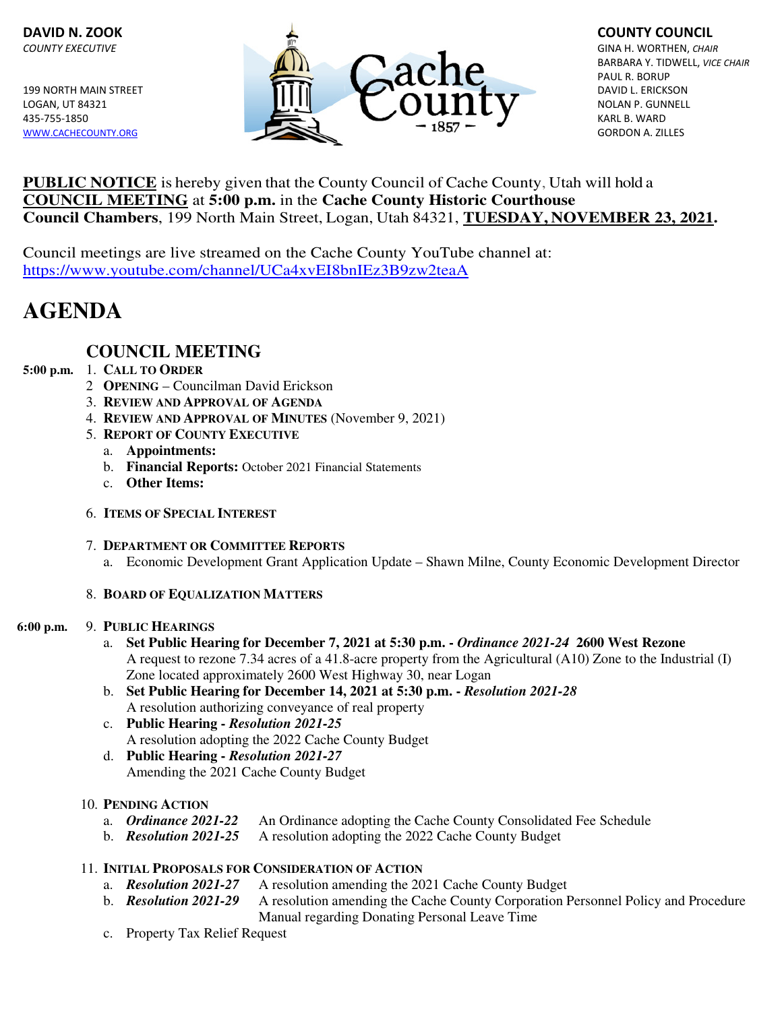

# **PUBLIC NOTICE** is hereby given that the County Council of Cache County, Utah will hold a **COUNCIL MEETING** at **5:00 p.m.** in the **Cache County Historic Courthouse Council Chambers**, 199 North Main Street, Logan, Utah 84321, **TUESDAY, NOVEMBER 23, 2021.**

Council meetings are live streamed on the Cache County YouTube channel at: https://www.youtube.com/channel/UCa4xvEI8bnIEz3B9zw2teaA

# **AGENDA**

# **COUNCIL MEETING**

# **5:00 p.m.** 1. **CALL TO ORDER**

- 2 **OPENING** Councilman David Erickson
- 3. **REVIEW AND APPROVAL OF AGENDA**
- 4. **REVIEW AND APPROVAL OF MINUTES** (November 9, 2021)
- 5. **REPORT OF COUNTY EXECUTIVE**
	- a. **Appointments:**
	- b. **Financial Reports:** October 2021 Financial Statements
	- c. **Other Items:**
- 6. **ITEMS OF SPECIAL INTEREST**
- 7. **DEPARTMENT OR COMMITTEE REPORTS**
	- a. Economic Development Grant Application Update Shawn Milne, County Economic Development Director

# 8. **BOARD OF EQUALIZATION MATTERS**

#### **6:00 p.m.** 9. **PUBLIC HEARINGS**

- a. **Set Public Hearing for December 7, 2021 at 5:30 p.m.** *Ordinance 2021-24* **2600 West Rezone** A request to rezone 7.34 acres of a 41.8-acre property from the Agricultural (A10) Zone to the Industrial (I) Zone located approximately 2600 West Highway 30, near Logan
- b. **Set Public Hearing for December 14, 2021 at 5:30 p.m.** *Resolution 2021-28* A resolution authorizing conveyance of real property
- c. **Public Hearing** *Resolution 2021-25* A resolution adopting the 2022 Cache County Budget
- d. **Public Hearing** *Resolution 2021-27* Amending the 2021 Cache County Budget

# 10. **PENDING ACTION**

- a. *Ordinance 2021-22* An Ordinance adopting the Cache County Consolidated Fee Schedule
- b. *Resolution 2021-25* A resolution adopting the 2022 Cache County Budget

# 11. **INITIAL PROPOSALS FOR CONSIDERATION OF ACTION**

- a. *Resolution 2021-27* A resolution amending the 2021 Cache County Budget
- b. *Resolution 2021-29* A resolution amending the Cache County Corporation Personnel Policy and Procedure Manual regarding Donating Personal Leave Time
- c. Property Tax Relief Request